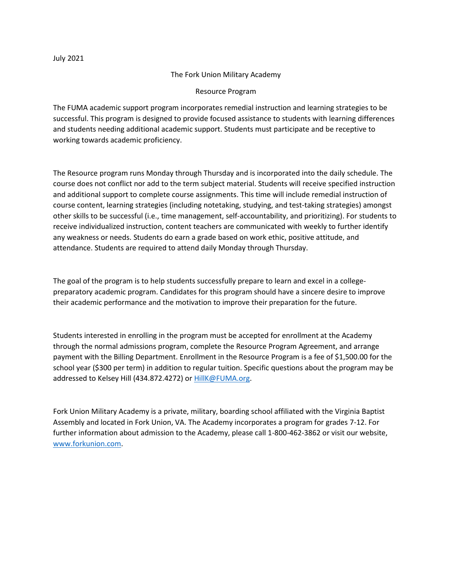## The Fork Union Military Academy

# Resource Program

The FUMA academic support program incorporates remedial instruction and learning strategies to be successful. This program is designed to provide focused assistance to students with learning differences and students needing additional academic support. Students must participate and be receptive to working towards academic proficiency.

The Resource program runs Monday through Thursday and is incorporated into the daily schedule. The course does not conflict nor add to the term subject material. Students will receive specified instruction and additional support to complete course assignments. This time will include remedial instruction of course content, learning strategies (including notetaking, studying, and test-taking strategies) amongst other skills to be successful (i.e., time management, self-accountability, and prioritizing). For students to receive individualized instruction, content teachers are communicated with weekly to further identify any weakness or needs. Students do earn a grade based on work ethic, positive attitude, and attendance. Students are required to attend daily Monday through Thursday.

The goal of the program is to help students successfully prepare to learn and excel in a collegepreparatory academic program. Candidates for this program should have a sincere desire to improve their academic performance and the motivation to improve their preparation for the future.

Students interested in enrolling in the program must be accepted for enrollment at the Academy through the normal admissions program, complete the Resource Program Agreement, and arrange payment with the Billing Department. Enrollment in the Resource Program is a fee of \$1,500.00 for the school year (\$300 per term) in addition to regular tuition. Specific questions about the program may be addressed to Kelsey Hill (434.872.4272) or [HillK@FUMA.org.](mailto:HillK@FUMA.org)

Fork Union Military Academy is a private, military, boarding school affiliated with the Virginia Baptist Assembly and located in Fork Union, VA. The Academy incorporates a program for grades 7-12. For further information about admission to the Academy, please call 1-800-462-3862 or visit our website, [www.forkunion.com.](http://www.forkunion.com/)

July 2021